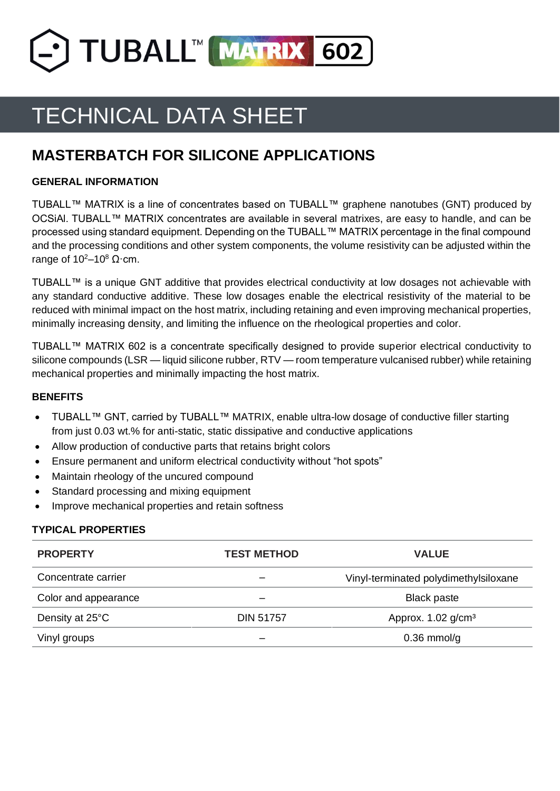

# TECHNICAL DATA SHEET

# **MASTERBATCH FOR SILICONE APPLICATIONS**

## **GENERAL INFORMATION**

TUBALL™ MATRIX is a line of concentrates based on TUBALL™ graphene nanotubes (GNT) produced by OCSiAl. TUBALL™ MATRIX concentrates are available in several matrixes, are easy to handle, and can be processed using standard equipment. Depending on the TUBALL™ MATRIX percentage in the final compound and the processing conditions and other system components, the volume resistivity can be adjusted within the range of  $10^2 - 10^8$  Ω $\cdot$  cm.

TUBALL™ is a unique GNT additive that provides electrical conductivity at low dosages not achievable with any standard conductive additive. These low dosages enable the electrical resistivity of the material to be reduced with minimal impact on the host matrix, including retaining and even improving mechanical properties, minimally increasing density, and limiting the influence on the rheological properties and color.

TUBALL™ MATRIX 602 is a concentrate specifically designed to provide superior electrical conductivity to silicone compounds (LSR — liquid silicone rubber, RTV — room temperature vulcanised rubber) while retaining mechanical properties and minimally impacting the host matrix.

#### **BENEFITS**

- TUBALL™ GNT, carried by TUBALL™ MATRIX, enable ultra-low dosage of conductive filler starting from just 0.03 wt.% for anti-static, static dissipative and conductive applications
- Allow production of conductive parts that retains bright colors
- Ensure permanent and uniform electrical conductivity without "hot spots"
- Maintain rheology of the uncured compound
- Standard processing and mixing equipment
- Improve mechanical properties and retain softness

#### **TYPICAL PROPERTIES**

| <b>PROPERTY</b>      | <b>TEST METHOD</b> | <b>VALUE</b>                          |  |
|----------------------|--------------------|---------------------------------------|--|
| Concentrate carrier  | –                  | Vinyl-terminated polydimethylsiloxane |  |
| Color and appearance |                    | <b>Black paste</b>                    |  |
| Density at 25°C      | <b>DIN 51757</b>   | Approx. $1.02$ g/cm <sup>3</sup>      |  |
| Vinyl groups         |                    | $0.36$ mmol/g                         |  |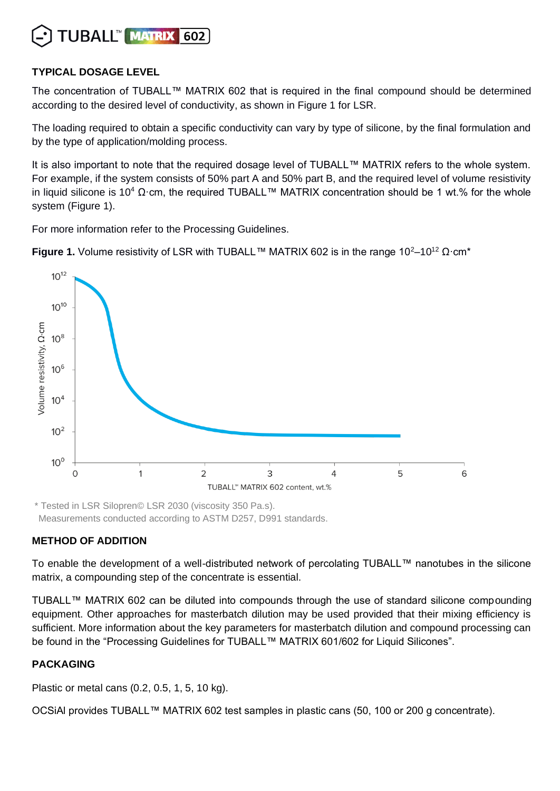

## **TYPICAL DOSAGE LEVEL**

The concentration of TUBALL™ MATRIX 602 that is required in the final compound should be determined according to the desired level of conductivity, as shown in Figure 1 for LSR.

The loading required to obtain a specific conductivity can vary by type of silicone, by the final formulation and by the type of application/molding process.

It is also important to note that the required dosage level of TUBALL™ MATRIX refers to the whole system. For example, if the system consists of 50% part A and 50% part B, and the required level of volume resistivity in liquid silicone is 10<sup>4</sup> Ω·cm, the required TUBALL™ MATRIX concentration should be 1 wt.% for the whole system (Figure 1).

For more information refer to the Processing Guidelines.

**Figure 1.** Volume resistivity of LSR with TUBALL™ MATRIX 602 is in the range  $10^2-10^{12}$   $\Omega$ ·cm<sup>\*</sup>



\* Tested in LSR Silopren© LSR 2030 (viscosity 350 Pa.s). Measurements conducted according to ASTM D257, D991 standards.

# **METHOD OF ADDITION**

To enable the development of a well-distributed network of percolating TUBALL™ nanotubes in the silicone matrix, a compounding step of the concentrate is essential.

TUBALL™ MATRIX 602 can be diluted into compounds through the use of standard silicone compounding equipment. Other approaches for masterbatch dilution may be used provided that their mixing efficiency is sufficient. More information about the key parameters for masterbatch dilution and compound processing can be found in the "Processing Guidelines for TUBALL™ MATRIX 601/602 for Liquid Silicones".

# **PACKAGING**

Plastic or metal cans (0.2, 0.5, 1, 5, 10 kg).

OCSiAl provides TUBALL™ MATRIX 602 test samples in plastic cans (50, 100 or 200 g concentrate).